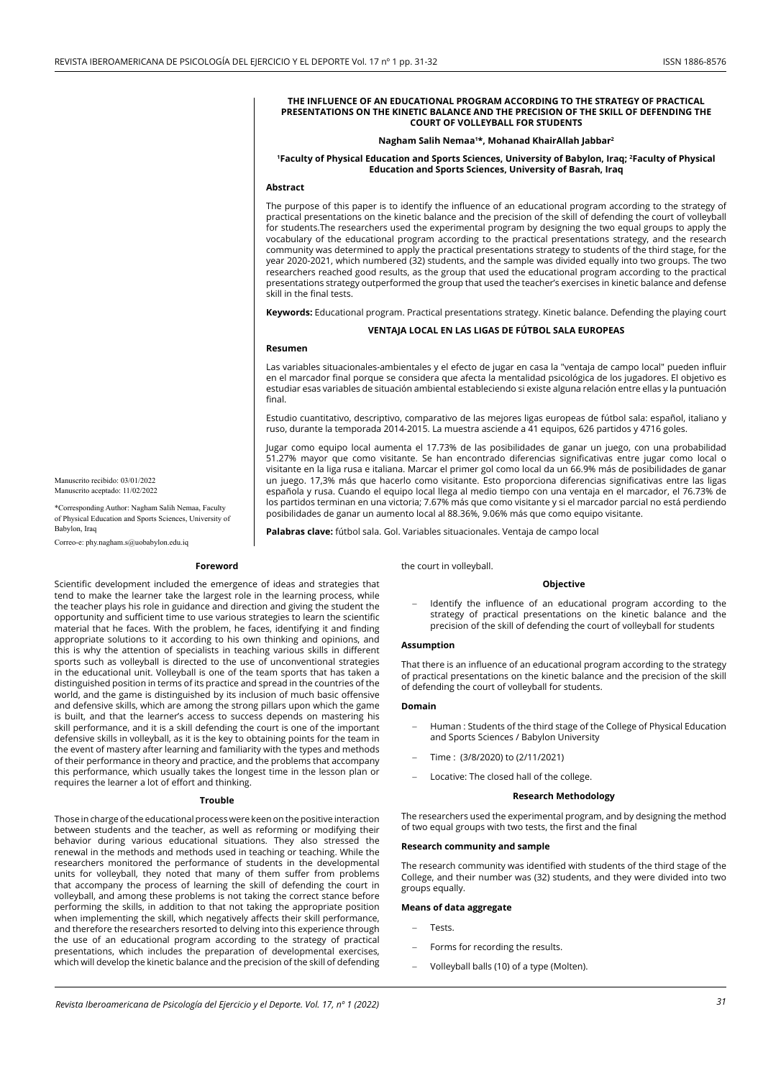#### **THE INFLUENCE OF AN EDUCATIONAL PROGRAM ACCORDING TO THE STRATEGY OF PRACTICAL PRESENTATIONS ON THE KINETIC BALANCE AND THE PRECISION OF THE SKILL OF DEFENDING THE COURT OF VOLLEYBALL FOR STUDENTS**

#### **Nagham Salih Nemaa1 \*, Mohanad KhairAllah Jabbar2**

#### **1Faculty of Physical Education and Sports Sciences, University of Babylon, Iraq; 2 Faculty of Physical Education and Sports Sciences, University of Basrah, Iraq**

### **Abstract**

The purpose of this paper is to identify the influence of an educational program according to the strategy of practical presentations on the kinetic balance and the precision of the skill of defending the court of volleyball for students.The researchers used the experimental program by designing the two equal groups to apply the vocabulary of the educational program according to the practical presentations strategy, and the research community was determined to apply the practical presentations strategy to students of the third stage, for the year 2020-2021, which numbered (32) students, and the sample was divided equally into two groups. The two researchers reached good results, as the group that used the educational program according to the practical presentations strategy outperformed the group that used the teacher's exercises in kinetic balance and defense skill in the final tests.

**Keywords:** Educational program. Practical presentations strategy. Kinetic balance. Defending the playing court

### **VENTAJA LOCAL EN LAS LIGAS DE FÚTBOL SALA EUROPEAS**

### **Resumen**

Las variables situacionales-ambientales y el efecto de jugar en casa la "ventaja de campo local" pueden influir en el marcador final porque se considera que afecta la mentalidad psicológica de los jugadores. El objetivo es estudiar esas variables de situación ambiental estableciendo si existe alguna relación entre ellas y la puntuación final.

Estudio cuantitativo, descriptivo, comparativo de las mejores ligas europeas de fútbol sala: español, italiano y ruso, durante la temporada 2014-2015. La muestra asciende a 41 equipos, 626 partidos y 4716 goles.

Jugar como equipo local aumenta el 17.73% de las posibilidades de ganar un juego, con una probabilidad 51.27% mayor que como visitante. Se han encontrado diferencias significativas entre jugar como local o visitante en la liga rusa e italiana. Marcar el primer gol como local da un 66.9% más de posibilidades de ganar un juego. 17,3% más que hacerlo como visitante. Esto proporciona diferencias significativas entre las ligas española y rusa. Cuando el equipo local llega al medio tiempo con una ventaja en el marcador, el 76.73% de los partidos terminan en una victoria; 7.67% más que como visitante y si el marcador parcial no está perdiendo posibilidades de ganar un aumento local al 88.36%, 9.06% más que como equipo visitante.

**Palabras clave:** fútbol sala. Gol. Variables situacionales. Ventaja de campo local

# Manuscrito recibido: 03/01/2022 Manuscrito aceptado: 11/02/2022

\*Corresponding Author: Nagham Salih Nemaa, Faculty of Physical Education and Sports Sciences, University of Babylon, Iraq

Correo-e: phy.nagham.s@uobabylon.edu.iq

#### **Foreword**

Scientific development included the emergence of ideas and strategies that tend to make the learner take the largest role in the learning process, while the teacher plays his role in guidance and direction and giving the student the opportunity and sufficient time to use various strategies to learn the scientific material that he faces. With the problem, he faces, identifying it and finding appropriate solutions to it according to his own thinking and opinions, and this is why the attention of specialists in teaching various skills in different sports such as volleyball is directed to the use of unconventional strategies in the educational unit. Volleyball is one of the team sports that has taken a distinguished position in terms of its practice and spread in the countries of the world, and the game is distinguished by its inclusion of much basic offensive and defensive skills, which are among the strong pillars upon which the game is built, and that the learner's access to success depends on mastering his skill performance, and it is a skill defending the court is one of the important defensive skills in volleyball, as it is the key to obtaining points for the team in the event of mastery after learning and familiarity with the types and methods of their performance in theory and practice, and the problems that accompany this performance, which usually takes the longest time in the lesson plan or requires the learner a lot of effort and thinking.

#### **Trouble**

Those in charge of the educational process were keen on the positive interaction between students and the teacher, as well as reforming or modifying their behavior during various educational situations. They also stressed the renewal in the methods and methods used in teaching or teaching. While the researchers monitored the performance of students in the developmental units for volleyball, they noted that many of them suffer from problems that accompany the process of learning the skill of defending the court in volleyball, and among these problems is not taking the correct stance before performing the skills, in addition to that not taking the appropriate position when implementing the skill, which negatively affects their skill performance, and therefore the researchers resorted to delving into this experience through the use of an educational program according to the strategy of practical presentations, which includes the preparation of developmental exercises, which will develop the kinetic balance and the precision of the skill of defending the court in volleyball.

### **Objective**

Identify the influence of an educational program according to the strategy of practical presentations on the kinetic balance and the precision of the skill of defending the court of volleyball for students

### **Assumption**

That there is an influence of an educational program according to the strategy of practical presentations on the kinetic balance and the precision of the skill of defending the court of volleyball for students.

#### **Domain**

- Human : Students of the third stage of the College of Physical Education and Sports Sciences / Babylon University
- Time: (3/8/2020) to (2/11/2021)
- Locative: The closed hall of the college.

### **Research Methodology**

The researchers used the experimental program, and by designing the method of two equal groups with two tests, the first and the final

#### **Research community and sample**

The research community was identified with students of the third stage of the College, and their number was (32) students, and they were divided into two groups equally.

#### **Means of data aggregate**

- Tests.
- Forms for recording the results.
- Volleyball balls (10) of a type (Molten).